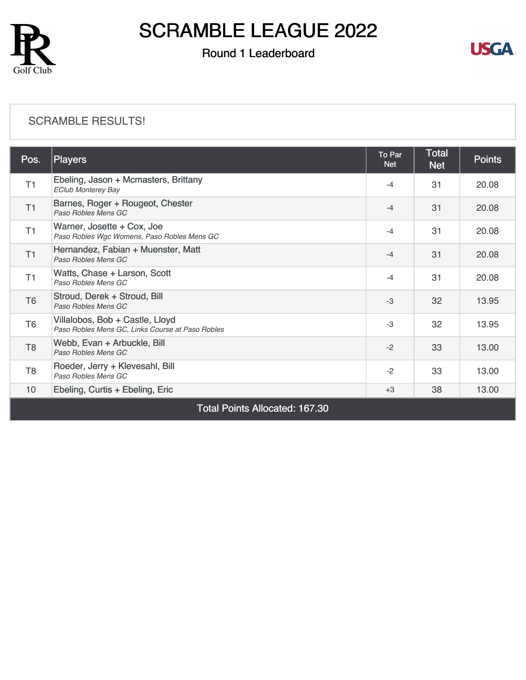

### Round 1 Leaderboard



#### [SCRAMBLE RESULTS!](https://cdn2.golfgenius.com/v2tournaments/8265454784346111498?called_from=&round_index=1)

| Pos.                                  | <b>Players</b>                                                                      | To Par<br><b>Net</b> | Total<br><b>Net</b> | <b>Points</b> |  |
|---------------------------------------|-------------------------------------------------------------------------------------|----------------------|---------------------|---------------|--|
| T1                                    | Ebeling, Jason + Mcmasters, Brittany<br><b>EClub Monterey Bay</b>                   | $-4$                 | 31                  | 20.08         |  |
| T1                                    | Barnes, Roger + Rougeot, Chester<br>Paso Robles Mens GC                             | $-4$                 | 31                  | 20.08         |  |
| T1                                    | Warner, Josette + Cox, Joe<br>Paso Robles Wgc Womens, Paso Robles Mens GC           | $-4$                 | 31                  | 20.08         |  |
| T1                                    | Hernandez, Fabian + Muenster, Matt<br>Paso Robles Mens GC                           | $-4$                 | 31                  | 20.08         |  |
| T1                                    | Watts, Chase + Larson, Scott<br>Paso Robles Mens GC                                 | $-4$                 | 31                  | 20.08         |  |
| T <sub>6</sub>                        | Stroud, Derek + Stroud, Bill<br>Paso Robles Mens GC                                 | $-3$                 | 32                  | 13.95         |  |
| T <sub>6</sub>                        | Villalobos, Bob + Castle, Lloyd<br>Paso Robles Mens GC, Links Course at Paso Robles | -3                   | 32                  | 13.95         |  |
| T <sub>8</sub>                        | Webb, Evan + Arbuckle, Bill<br>Paso Robles Mens GC                                  | $-2$                 | 33                  | 13.00         |  |
| T <sub>8</sub>                        | Roeder, Jerry + Klevesahl, Bill<br>Paso Robles Mens GC                              | $-2$                 | 33                  | 13.00         |  |
| 10                                    | Ebeling, Curtis + Ebeling, Eric                                                     | $+3$                 | 38                  | 13.00         |  |
| <b>Total Points Allocated: 167.30</b> |                                                                                     |                      |                     |               |  |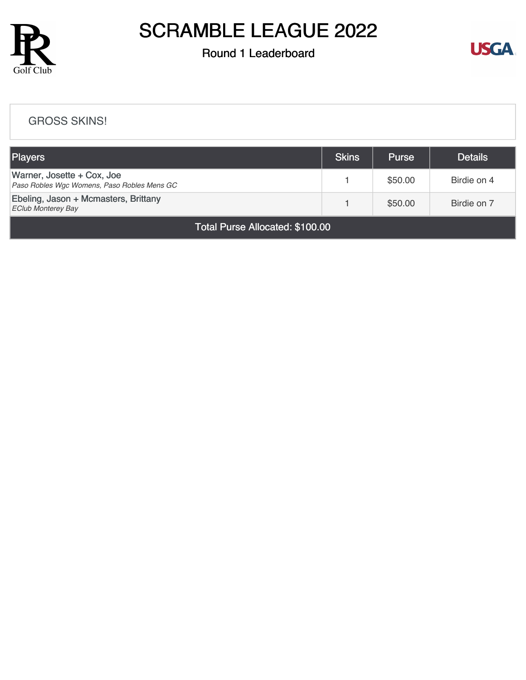

### Round 1 Leaderboard



#### [GROSS SKINS!](https://cdn2.golfgenius.com/v2tournaments/8265479812093623822?called_from=&round_index=1)

| <b>Players</b>                                                            | <b>Skins</b> | <b>Purse</b> | <b>Details</b> |  |  |
|---------------------------------------------------------------------------|--------------|--------------|----------------|--|--|
| Warner, Josette + Cox, Joe<br>Paso Robles Wgc Womens, Paso Robles Mens GC |              | \$50.00      | Birdie on 4    |  |  |
| Ebeling, Jason + Mcmasters, Brittany<br><b>EClub Monterey Bay</b>         |              | \$50.00      | Birdie on 7    |  |  |
| Total Purse Allocated: \$100.00                                           |              |              |                |  |  |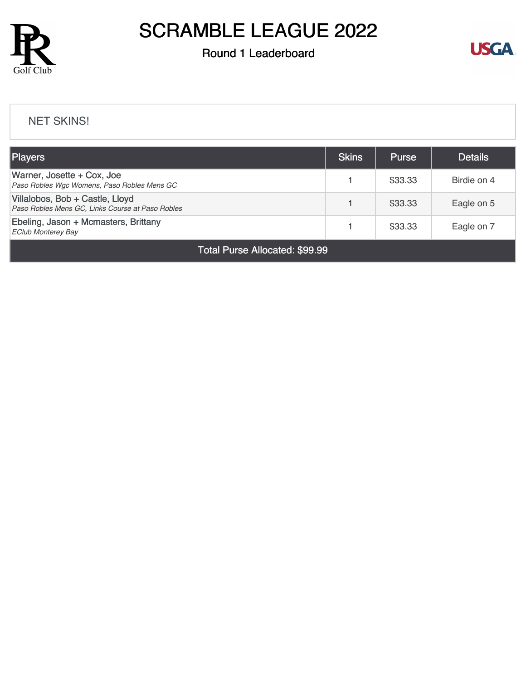

### Round 1 Leaderboard



#### [NET SKINS!](https://cdn2.golfgenius.com/v2tournaments/8265481218527641103?called_from=&round_index=1)

| <b>Players</b>                                                                      | <b>Skins</b> | <b>Purse</b> | <b>Details</b> |  |
|-------------------------------------------------------------------------------------|--------------|--------------|----------------|--|
| Warner, Josette + Cox, Joe<br>Paso Robles Wgc Womens, Paso Robles Mens GC           |              | \$33.33      | Birdie on 4    |  |
| Villalobos, Bob + Castle, Lloyd<br>Paso Robles Mens GC, Links Course at Paso Robles |              | \$33.33      | Eagle on 5     |  |
| Ebeling, Jason + Mcmasters, Brittany<br><b>EClub Monterey Bay</b>                   |              | \$33.33      | Eagle on 7     |  |
| Total Purse Allocated: \$99.99                                                      |              |              |                |  |